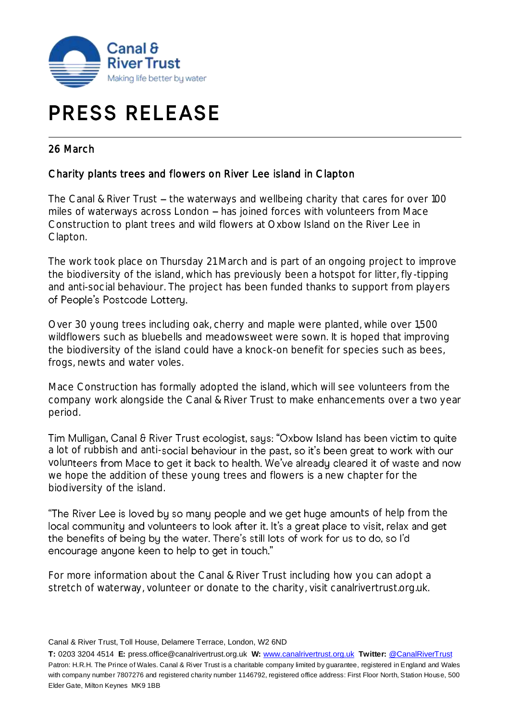

## **PRESS RELEASE**

## 26 March

## Charity plants trees and flowers on River Lee island in Clapton

The Canal & River Trust  $-$  the waterways and wellbeing charity that cares for over 100 miles of waterways across London  $-$  has joined forces with volunteers from Mace Construction to plant trees and wild flowers at Oxbow Island on the River Lee in Clapton.

The work took place on Thursday 21 March and is part of an ongoing project to improve the biodiversity of the island, which has previously been a hotspot for litter, fly-tipping and anti-social behaviour. The project has been funded thanks to support from players of People's Postcode Lottery.

Over 30 young trees including oak, cherry and maple were planted, while over 1,500 wildflowers such as bluebells and meadowsweet were sown. It is hoped that improving the biodiversity of the island could have a knock-on benefit for species such as bees, frogs, newts and water voles.

Mace Construction has formally adopted the island, which will see volunteers from the company work alongside the Canal & River Trust to make enhancements over a two year period.

Tim Mulligan, Canal & River Trust ecologist, says: "Oxbow Island has been victim to quite a lot of rubbish and anti-social behaviour in the past, so it's been great to work with our volunteers from Mace to get it back to health. We've already cleared it of waste and now we hope the addition of these young trees and flowers is a new chapter for the biodiversity of the island.

"The River Lee is loved by so many people and we get huge amounts of help from the local community and volunteers to look after it. It's a great place to visit, relax and get the benefits of being by the water. There's still lots of work for us to do, so I'd encourage anyone keen to help to get in touch."

For more information about the Canal & River Trust including how you can adopt a stretch of waterway, volunteer or donate to the charity, visit canalrivertrust.org.uk.

**T:** 0203 3204 4514 **E:** press.office@canalrivertrust.org.uk **W:** [www.canalrivertrust.org.uk](http://www.canalrivertrust.org.uk/) **Twitter:** [@CanalRiverTrust](https://twitter.com/CanalRiverTrust) Patron: H.R.H. The Prince of Wales. Canal & River Trust is a charitable company limited by guarantee, registered in England and Wales with company number 7807276 and registered charity number 1146792, registered office address: First Floor North, Station House, 500 Elder Gate, Milton Keynes MK9 1BB

Canal & River Trust, Toll House, Delamere Terrace, London, W2 6ND